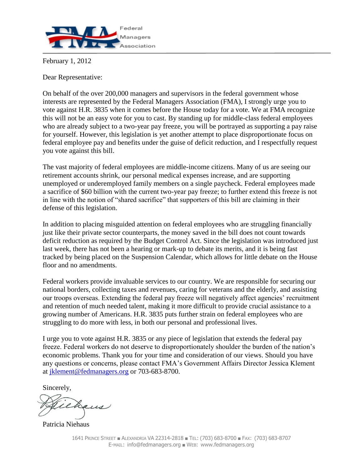

February 1, 2012

Dear Representative:

On behalf of the over 200,000 managers and supervisors in the federal government whose interests are represented by the Federal Managers Association (FMA), I strongly urge you to vote against H.R. 3835 when it comes before the House today for a vote. We at FMA recognize this will not be an easy vote for you to cast. By standing up for middle-class federal employees who are already subject to a two-year pay freeze, you will be portrayed as supporting a pay raise for yourself. However, this legislation is yet another attempt to place disproportionate focus on federal employee pay and benefits under the guise of deficit reduction, and I respectfully request you vote against this bill.

The vast majority of federal employees are middle-income citizens. Many of us are seeing our retirement accounts shrink, our personal medical expenses increase, and are supporting unemployed or underemployed family members on a single paycheck. Federal employees made a sacrifice of \$60 billion with the current two-year pay freeze; to further extend this freeze is not in line with the notion of "shared sacrifice" that supporters of this bill are claiming in their defense of this legislation.

In addition to placing misguided attention on federal employees who are struggling financially just like their private sector counterparts, the money saved in the bill does not count towards deficit reduction as required by the Budget Control Act. Since the legislation was introduced just last week, there has not been a hearing or mark-up to debate its merits, and it is being fast tracked by being placed on the Suspension Calendar, which allows for little debate on the House floor and no amendments.

Federal workers provide invaluable services to our country. We are responsible for securing our national borders, collecting taxes and revenues, caring for veterans and the elderly, and assisting our troops overseas. Extending the federal pay freeze will negatively affect agencies' recruitment and retention of much needed talent, making it more difficult to provide crucial assistance to a growing number of Americans. H.R. 3835 puts further strain on federal employees who are struggling to do more with less, in both our personal and professional lives.

I urge you to vote against H.R. 3835 or any piece of legislation that extends the federal pay freeze. Federal workers do not deserve to disproportionately shoulder the burden of the nation's economic problems. Thank you for your time and consideration of our views. Should you have any questions or concerns, please contact FMA's Government Affairs Director Jessica Klement at [jklement@fedmanagers.org](mailto:jklement@fedmanagers.org) or 703-683-8700.

Sincerely,

ehans

Patricia Niehaus